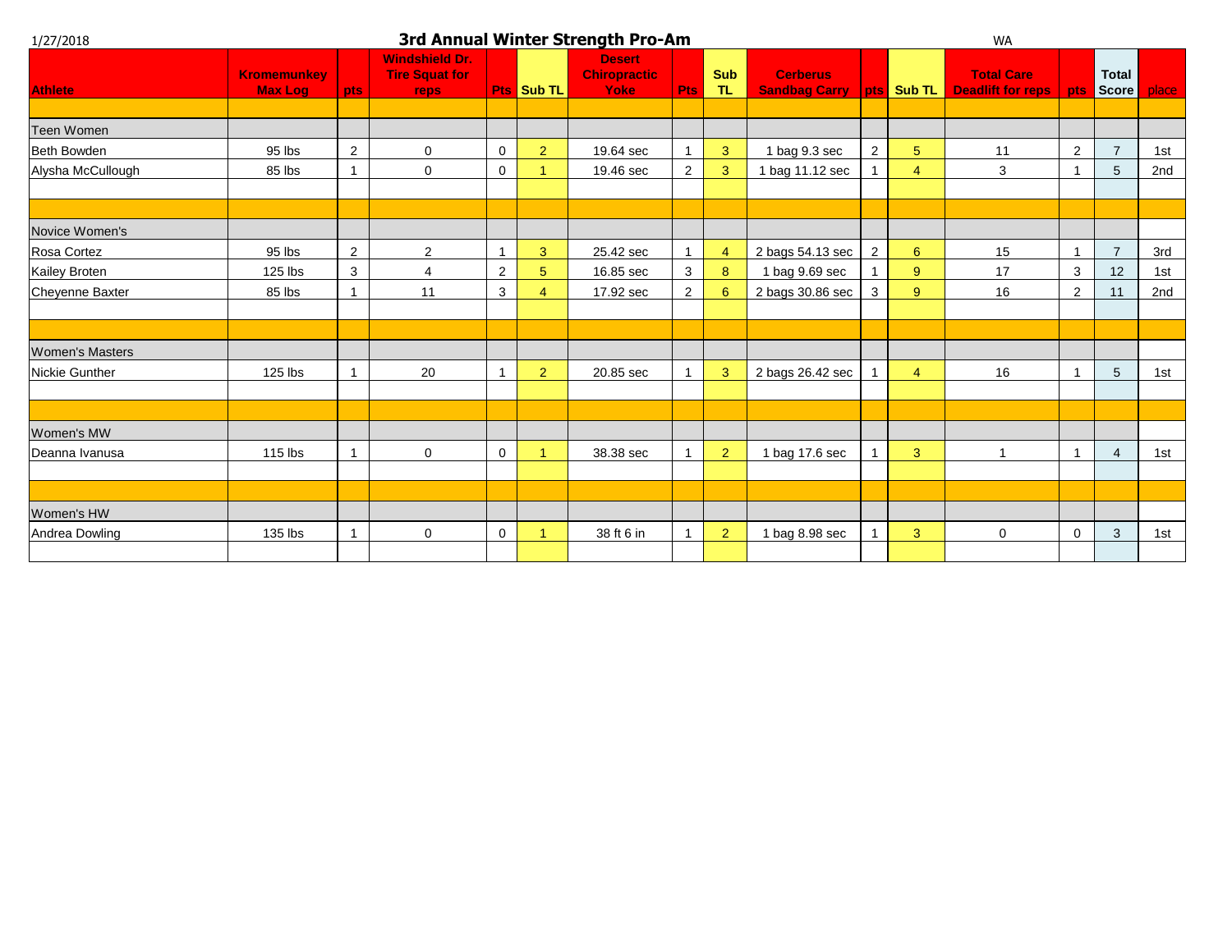| 1/27/2018              | 3rd Annual Winter Strength Pro-Am    |                |                                                        |                     |                       |                                              |                         |                   |                                         |                |                  | <b>WA</b>                                     |                |                       |       |  |  |  |
|------------------------|--------------------------------------|----------------|--------------------------------------------------------|---------------------|-----------------------|----------------------------------------------|-------------------------|-------------------|-----------------------------------------|----------------|------------------|-----------------------------------------------|----------------|-----------------------|-------|--|--|--|
| <b>Athlete</b>         | <b>Kromemunkey</b><br><b>Max Log</b> | pts            | <b>Windshield Dr.</b><br><b>Tire Squat for</b><br>reps |                     | <b>Pts Sub TL</b>     | <b>Desert</b><br><b>Chiropractic</b><br>Yoke | Pts                     | <b>Sub</b><br>TL. | <b>Cerberus</b><br><b>Sandbag Carry</b> |                | pts Sub TL       | <b>Total Care</b><br><b>Deadlift for reps</b> | <b>pts</b>     | <b>Total</b><br>Score | place |  |  |  |
| Teen Women             |                                      |                |                                                        |                     |                       |                                              |                         |                   |                                         |                |                  |                                               |                |                       |       |  |  |  |
| Beth Bowden            | 95 lbs                               | $\overline{2}$ | 0                                                      | $\mathbf 0$         | $\overline{2}$        | 19.64 sec                                    | $\overline{\mathbf{1}}$ | 3                 | 1 bag 9.3 sec                           | 2              | 5                | 11                                            | $\overline{2}$ | $\overline{7}$        | 1st   |  |  |  |
| Alysha McCullough      | 85 lbs                               | $\mathbf{1}$   | $\mathbf 0$                                            | $\mathsf{O}\xspace$ |                       | 19.46 sec                                    | $\overline{2}$          | 3                 | 1 bag 11.12 sec                         |                | $\overline{4}$   | 3                                             |                | 5                     | 2nd   |  |  |  |
|                        |                                      |                |                                                        |                     |                       |                                              |                         |                   |                                         |                |                  |                                               |                |                       |       |  |  |  |
| Novice Women's         |                                      |                |                                                        |                     |                       |                                              |                         |                   |                                         |                |                  |                                               |                |                       |       |  |  |  |
| Rosa Cortez            | 95 lbs                               | $\overline{2}$ | 2                                                      | $\overline{1}$      | 3                     | 25.42 sec                                    | $\overline{1}$          | 4                 | 2 bags 54.13 sec                        | $\overline{2}$ | $6\phantom{1}$   | 15                                            |                | $\overline{7}$        | 3rd   |  |  |  |
| Kailey Broten          | 125 lbs                              | 3              | $\overline{4}$                                         | $\overline{2}$      | 5                     | 16.85 sec                                    | 3                       | 8                 | 1 bag 9.69 sec                          |                | $\boldsymbol{9}$ | 17                                            | 3              | 12                    | 1st   |  |  |  |
| <b>Cheyenne Baxter</b> | 85 lbs                               |                | 11                                                     | $\mathbf{3}$        | $\boldsymbol{\Delta}$ | 17.92 sec                                    | $\overline{2}$          | 6                 | 2 bags 30.86 sec                        | 3              | 9                | 16                                            | $\overline{2}$ | 11                    | 2nd   |  |  |  |
|                        |                                      |                |                                                        |                     |                       |                                              |                         |                   |                                         |                |                  |                                               |                |                       |       |  |  |  |
| <b>Women's Masters</b> |                                      |                |                                                        |                     |                       |                                              |                         |                   |                                         |                |                  |                                               |                |                       |       |  |  |  |
| Nickie Gunther         | 125 lbs                              | $\mathbf{1}$   | 20                                                     | $\overline{1}$      | $\overline{2}$        | 20.85 sec                                    |                         | 3                 | 2 bags 26.42 sec                        |                | $\overline{4}$   | 16                                            |                | $5\phantom{.0}$       | 1st   |  |  |  |
|                        |                                      |                |                                                        |                     |                       |                                              |                         |                   |                                         |                |                  |                                               |                |                       |       |  |  |  |
| Women's MW             |                                      |                |                                                        |                     |                       |                                              |                         |                   |                                         |                |                  |                                               |                |                       |       |  |  |  |
| Deanna Ivanusa         | $115$ lbs                            |                | $\mathbf 0$                                            | $\mathsf{O}\xspace$ |                       | 38.38 sec                                    |                         | 2 <sup>1</sup>    | 1 bag 17.6 sec                          |                | 3                |                                               |                | $\overline{4}$        | 1st   |  |  |  |
|                        |                                      |                |                                                        |                     |                       |                                              |                         |                   |                                         |                |                  |                                               |                |                       |       |  |  |  |
| Women's HW             |                                      |                |                                                        |                     |                       |                                              |                         |                   |                                         |                |                  |                                               |                |                       |       |  |  |  |
| Andrea Dowling         | 135 lbs                              | $\mathbf{1}$   | $\mathbf 0$                                            | 0                   |                       | 38 ft 6 in                                   |                         | $\overline{2}$    | 1 bag 8.98 sec                          |                | 3                | $\mathbf 0$                                   | $\mathbf 0$    | 3                     | 1st   |  |  |  |